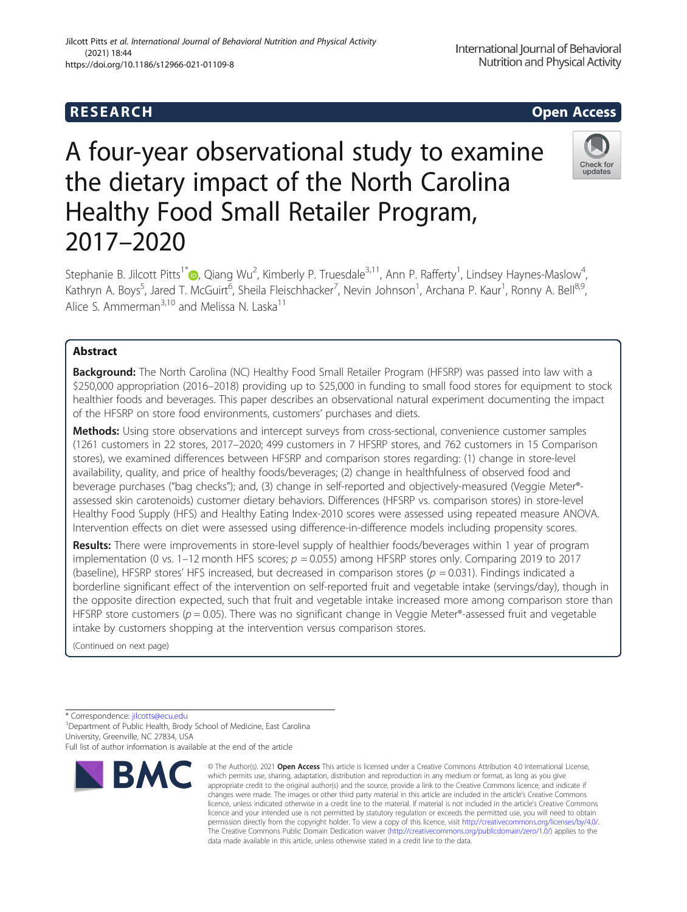## **RESEARCH CHILD CONTROL** CONTROL CONTROL CONTROL CONTROL CONTROL CONTROL CONTROL CONTROL CONTROL CONTROL CONTROL CONTROL CONTROL CONTROL CONTROL CONTROL CONTROL CONTROL CONTROL CONTROL CONTROL CONTROL CONTROL CONTROL CONTR

# A four-year observational study to examine the dietary impact of the North Carolina Healthy Food Small Retailer Program, 2017–2020

Stephanie B. Jilcott Pitts<sup>1[\\*](http://orcid.org/0000-0001-8838-638X)</sup> $\bigcirc$ , Qiang Wu<sup>2</sup>, Kimberly P. Truesdale<sup>3,11</sup>, Ann P. Rafferty<sup>1</sup>, Lindsey Haynes-Maslow<sup>4</sup> , Kathryn A. Boys<sup>5</sup>, Jared T. McGuirt<sup>6</sup>, Sheila Fleischhacker<sup>7</sup>, Nevin Johnson<sup>1</sup>, Archana P. Kaur<sup>1</sup>, Ronny A. Bell<sup>8,9</sup>, Alice S. Ammerman<sup>3,10</sup> and Melissa N. Laska<sup>11</sup>

## Abstract

Background: The North Carolina (NC) Healthy Food Small Retailer Program (HFSRP) was passed into law with a \$250,000 appropriation (2016–2018) providing up to \$25,000 in funding to small food stores for equipment to stock healthier foods and beverages. This paper describes an observational natural experiment documenting the impact of the HFSRP on store food environments, customers' purchases and diets.

**Methods:** Using store observations and intercept surveys from cross-sectional, convenience customer samples (1261 customers in 22 stores, 2017–2020; 499 customers in 7 HFSRP stores, and 762 customers in 15 Comparison stores), we examined differences between HFSRP and comparison stores regarding: (1) change in store-level availability, quality, and price of healthy foods/beverages; (2) change in healthfulness of observed food and beverage purchases ("bag checks"); and, (3) change in self-reported and objectively-measured (Veggie Meter® assessed skin carotenoids) customer dietary behaviors. Differences (HFSRP vs. comparison stores) in store-level Healthy Food Supply (HFS) and Healthy Eating Index-2010 scores were assessed using repeated measure ANOVA. Intervention effects on diet were assessed using difference-in-difference models including propensity scores.

Results: There were improvements in store-level supply of healthier foods/beverages within 1 year of program implementation (0 vs. 1–12 month HFS scores;  $p = 0.055$ ) among HFSRP stores only. Comparing 2019 to 2017 (baseline), HFSRP stores' HFS increased, but decreased in comparison stores ( $p = 0.031$ ). Findings indicated a borderline significant effect of the intervention on self-reported fruit and vegetable intake (servings/day), though in the opposite direction expected, such that fruit and vegetable intake increased more among comparison store than HFSRP store customers ( $p = 0.05$ ). There was no significant change in Veggie Meter®-assessed fruit and vegetable intake by customers shopping at the intervention versus comparison stores.

(Continued on next page)

\* Correspondence: [jilcotts@ecu.edu](mailto:jilcotts@ecu.edu) <sup>1</sup>

<sup>1</sup> Department of Public Health, Brody School of Medicine, East Carolina University, Greenville, NC 27834, USA Full list of author information is available at the end of the article



<sup>©</sup> The Author(s), 2021 **Open Access** This article is licensed under a Creative Commons Attribution 4.0 International License, which permits use, sharing, adaptation, distribution and reproduction in any medium or format, as long as you give appropriate credit to the original author(s) and the source, provide a link to the Creative Commons licence, and indicate if changes were made. The images or other third party material in this article are included in the article's Creative Commons licence, unless indicated otherwise in a credit line to the material. If material is not included in the article's Creative Commons licence and your intended use is not permitted by statutory regulation or exceeds the permitted use, you will need to obtain permission directly from the copyright holder. To view a copy of this licence, visit [http://creativecommons.org/licenses/by/4.0/.](http://creativecommons.org/licenses/by/4.0/) The Creative Commons Public Domain Dedication waiver [\(http://creativecommons.org/publicdomain/zero/1.0/](http://creativecommons.org/publicdomain/zero/1.0/)) applies to the data made available in this article, unless otherwise stated in a credit line to the data.



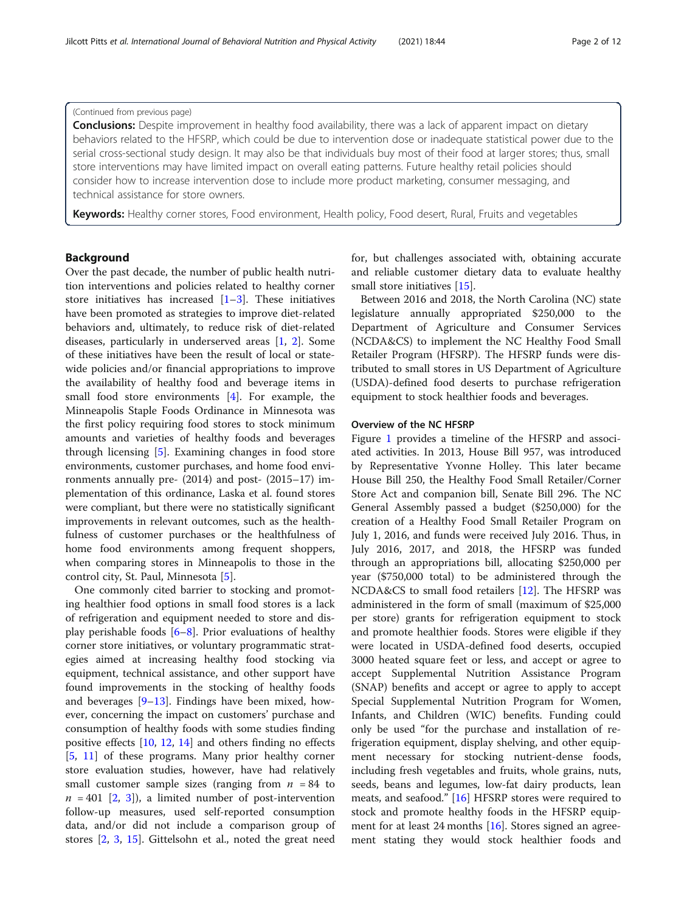## (Continued from previous page)

Conclusions: Despite improvement in healthy food availability, there was a lack of apparent impact on dietary behaviors related to the HFSRP, which could be due to intervention dose or inadequate statistical power due to the serial cross-sectional study design. It may also be that individuals buy most of their food at larger stores; thus, small store interventions may have limited impact on overall eating patterns. Future healthy retail policies should consider how to increase intervention dose to include more product marketing, consumer messaging, and technical assistance for store owners.

Keywords: Healthy corner stores, Food environment, Health policy, Food desert, Rural, Fruits and vegetables

## Background

Over the past decade, the number of public health nutrition interventions and policies related to healthy corner store initiatives has increased  $[1-3]$  $[1-3]$  $[1-3]$ . These initiatives have been promoted as strategies to improve diet-related behaviors and, ultimately, to reduce risk of diet-related diseases, particularly in underserved areas [[1,](#page-10-0) [2](#page-10-0)]. Some of these initiatives have been the result of local or statewide policies and/or financial appropriations to improve the availability of healthy food and beverage items in small food store environments [[4](#page-10-0)]. For example, the Minneapolis Staple Foods Ordinance in Minnesota was the first policy requiring food stores to stock minimum amounts and varieties of healthy foods and beverages through licensing [[5\]](#page-10-0). Examining changes in food store environments, customer purchases, and home food environments annually pre- (2014) and post- (2015–17) implementation of this ordinance, Laska et al. found stores were compliant, but there were no statistically significant improvements in relevant outcomes, such as the healthfulness of customer purchases or the healthfulness of home food environments among frequent shoppers, when comparing stores in Minneapolis to those in the control city, St. Paul, Minnesota [\[5](#page-10-0)].

One commonly cited barrier to stocking and promoting healthier food options in small food stores is a lack of refrigeration and equipment needed to store and display perishable foods [\[6](#page-10-0)–[8\]](#page-10-0). Prior evaluations of healthy corner store initiatives, or voluntary programmatic strategies aimed at increasing healthy food stocking via equipment, technical assistance, and other support have found improvements in the stocking of healthy foods and beverages  $[9-13]$  $[9-13]$  $[9-13]$  $[9-13]$  $[9-13]$ . Findings have been mixed, however, concerning the impact on customers' purchase and consumption of healthy foods with some studies finding positive effects [[10,](#page-10-0) [12](#page-10-0), [14\]](#page-11-0) and others finding no effects [[5,](#page-10-0) [11\]](#page-10-0) of these programs. Many prior healthy corner store evaluation studies, however, have had relatively small customer sample sizes (ranging from  $n = 84$  to  $n = 401$  [\[2](#page-10-0), [3](#page-10-0)]), a limited number of post-intervention follow-up measures, used self-reported consumption data, and/or did not include a comparison group of stores [[2,](#page-10-0) [3,](#page-10-0) [15\]](#page-11-0). Gittelsohn et al., noted the great need for, but challenges associated with, obtaining accurate and reliable customer dietary data to evaluate healthy small store initiatives [\[15](#page-11-0)].

Between 2016 and 2018, the North Carolina (NC) state legislature annually appropriated \$250,000 to the Department of Agriculture and Consumer Services (NCDA&CS) to implement the NC Healthy Food Small Retailer Program (HFSRP). The HFSRP funds were distributed to small stores in US Department of Agriculture (USDA)-defined food deserts to purchase refrigeration equipment to stock healthier foods and beverages.

#### Overview of the NC HFSRP

Figure [1](#page-2-0) provides a timeline of the HFSRP and associated activities. In 2013, House Bill 957, was introduced by Representative Yvonne Holley. This later became House Bill 250, the Healthy Food Small Retailer/Corner Store Act and companion bill, Senate Bill 296. The NC General Assembly passed a budget (\$250,000) for the creation of a Healthy Food Small Retailer Program on July 1, 2016, and funds were received July 2016. Thus, in July 2016, 2017, and 2018, the HFSRP was funded through an appropriations bill, allocating \$250,000 per year (\$750,000 total) to be administered through the NCDA&CS to small food retailers [[12\]](#page-10-0). The HFSRP was administered in the form of small (maximum of \$25,000 per store) grants for refrigeration equipment to stock and promote healthier foods. Stores were eligible if they were located in USDA-defined food deserts, occupied 3000 heated square feet or less, and accept or agree to accept Supplemental Nutrition Assistance Program (SNAP) benefits and accept or agree to apply to accept Special Supplemental Nutrition Program for Women, Infants, and Children (WIC) benefits. Funding could only be used "for the purchase and installation of refrigeration equipment, display shelving, and other equipment necessary for stocking nutrient-dense foods, including fresh vegetables and fruits, whole grains, nuts, seeds, beans and legumes, low-fat dairy products, lean meats, and seafood." [[16\]](#page-11-0) HFSRP stores were required to stock and promote healthy foods in the HFSRP equip-ment for at least 24 months [[16\]](#page-11-0). Stores signed an agreement stating they would stock healthier foods and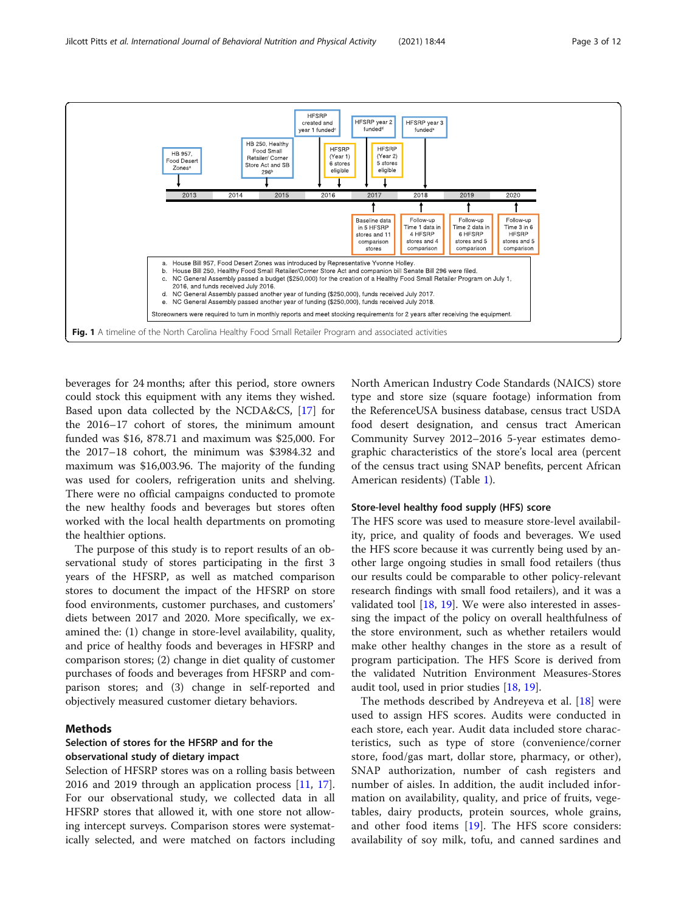<span id="page-2-0"></span>

beverages for 24 months; after this period, store owners could stock this equipment with any items they wished. Based upon data collected by the NCDA&CS, [\[17](#page-11-0)] for the 2016–17 cohort of stores, the minimum amount funded was \$16, 878.71 and maximum was \$25,000. For the 2017–18 cohort, the minimum was \$3984.32 and maximum was \$16,003.96. The majority of the funding was used for coolers, refrigeration units and shelving. There were no official campaigns conducted to promote the new healthy foods and beverages but stores often worked with the local health departments on promoting the healthier options.

The purpose of this study is to report results of an observational study of stores participating in the first 3 years of the HFSRP, as well as matched comparison stores to document the impact of the HFSRP on store food environments, customer purchases, and customers' diets between 2017 and 2020. More specifically, we examined the: (1) change in store-level availability, quality, and price of healthy foods and beverages in HFSRP and comparison stores; (2) change in diet quality of customer purchases of foods and beverages from HFSRP and comparison stores; and (3) change in self-reported and objectively measured customer dietary behaviors.

## Methods

## Selection of stores for the HFSRP and for the observational study of dietary impact

Selection of HFSRP stores was on a rolling basis between 2016 and 2019 through an application process [[11](#page-10-0), [17](#page-11-0)]. For our observational study, we collected data in all HFSRP stores that allowed it, with one store not allowing intercept surveys. Comparison stores were systematically selected, and were matched on factors including North American Industry Code Standards (NAICS) store type and store size (square footage) information from the ReferenceUSA business database, census tract USDA food desert designation, and census tract American Community Survey 2012–2016 5-year estimates demographic characteristics of the store's local area (percent of the census tract using SNAP benefits, percent African American residents) (Table [1](#page-3-0)).

## Store-level healthy food supply (HFS) score

The HFS score was used to measure store-level availability, price, and quality of foods and beverages. We used the HFS score because it was currently being used by another large ongoing studies in small food retailers (thus our results could be comparable to other policy-relevant research findings with small food retailers), and it was a validated tool [[18,](#page-11-0) [19\]](#page-11-0). We were also interested in assessing the impact of the policy on overall healthfulness of the store environment, such as whether retailers would make other healthy changes in the store as a result of program participation. The HFS Score is derived from the validated Nutrition Environment Measures-Stores audit tool, used in prior studies [\[18](#page-11-0), [19](#page-11-0)].

The methods described by Andreyeva et al. [\[18](#page-11-0)] were used to assign HFS scores. Audits were conducted in each store, each year. Audit data included store characteristics, such as type of store (convenience/corner store, food/gas mart, dollar store, pharmacy, or other), SNAP authorization, number of cash registers and number of aisles. In addition, the audit included information on availability, quality, and price of fruits, vegetables, dairy products, protein sources, whole grains, and other food items [[19](#page-11-0)]. The HFS score considers: availability of soy milk, tofu, and canned sardines and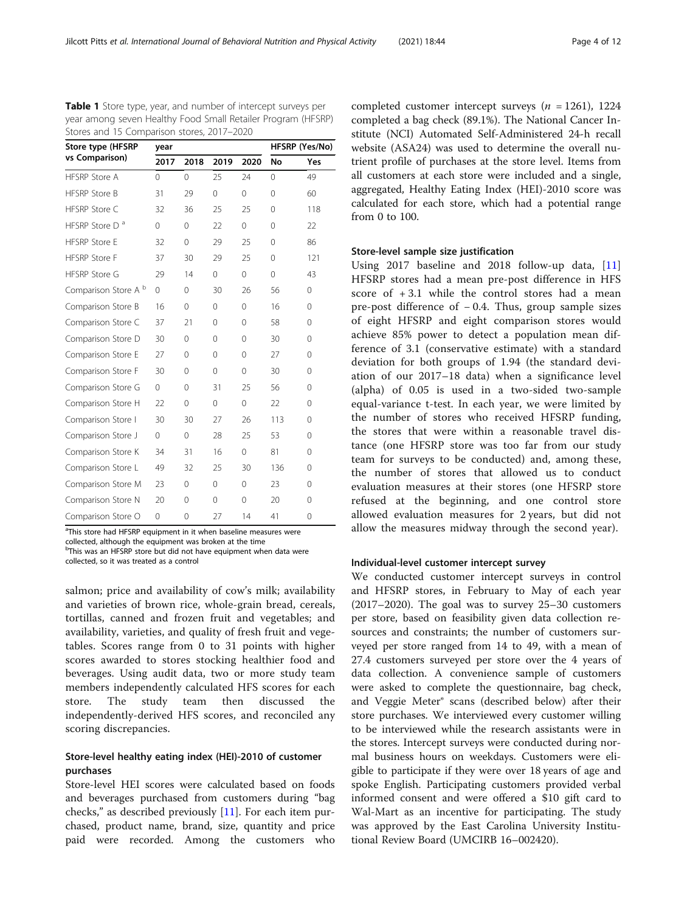<sup>a</sup>This store had HFSRP equipment in it when baseline measures were collected, although the equipment was broken at the time <sup>b</sup>This was an HFSRP store but did not have equipment when data were collected, so it was treated as a control

Comparison Store O 0 0 27 14 41 0

salmon; price and availability of cow's milk; availability and varieties of brown rice, whole-grain bread, cereals, tortillas, canned and frozen fruit and vegetables; and availability, varieties, and quality of fresh fruit and vegetables. Scores range from 0 to 31 points with higher scores awarded to stores stocking healthier food and beverages. Using audit data, two or more study team members independently calculated HFS scores for each store. The study team then discussed the independently-derived HFS scores, and reconciled any scoring discrepancies.

## Store-level healthy eating index (HEI)-2010 of customer purchases

Store-level HEI scores were calculated based on foods and beverages purchased from customers during "bag checks," as described previously [\[11\]](#page-10-0). For each item purchased, product name, brand, size, quantity and price paid were recorded. Among the customers who completed customer intercept surveys ( $n = 1261$ ), 1224 completed a bag check (89.1%). The National Cancer Institute (NCI) Automated Self-Administered 24-h recall website (ASA24) was used to determine the overall nutrient profile of purchases at the store level. Items from all customers at each store were included and a single, aggregated, Healthy Eating Index (HEI)-2010 score was calculated for each store, which had a potential range from 0 to 100.

## Store-level sample size justification

Using 2017 baseline and 2018 follow-up data, [\[11](#page-10-0)] HFSRP stores had a mean pre-post difference in HFS score of  $+3.1$  while the control stores had a mean pre-post difference of − 0.4. Thus, group sample sizes of eight HFSRP and eight comparison stores would achieve 85% power to detect a population mean difference of 3.1 (conservative estimate) with a standard deviation for both groups of 1.94 (the standard deviation of our 2017–18 data) when a significance level (alpha) of 0.05 is used in a two-sided two-sample equal-variance t-test. In each year, we were limited by the number of stores who received HFSRP funding, the stores that were within a reasonable travel distance (one HFSRP store was too far from our study team for surveys to be conducted) and, among these, the number of stores that allowed us to conduct evaluation measures at their stores (one HFSRP store refused at the beginning, and one control store allowed evaluation measures for 2 years, but did not allow the measures midway through the second year).

## Individual-level customer intercept survey

We conducted customer intercept surveys in control and HFSRP stores, in February to May of each year (2017–2020). The goal was to survey 25–30 customers per store, based on feasibility given data collection resources and constraints; the number of customers surveyed per store ranged from 14 to 49, with a mean of 27.4 customers surveyed per store over the 4 years of data collection. A convenience sample of customers were asked to complete the questionnaire, bag check, and Veggie Meter® scans (described below) after their store purchases. We interviewed every customer willing to be interviewed while the research assistants were in the stores. Intercept surveys were conducted during normal business hours on weekdays. Customers were eligible to participate if they were over 18 years of age and spoke English. Participating customers provided verbal informed consent and were offered a \$10 gift card to Wal-Mart as an incentive for participating. The study was approved by the East Carolina University Institutional Review Board (UMCIRB 16–002420).

<span id="page-3-0"></span>Table 1 Store type, year, and number of intercept surveys per year among seven Healthy Food Small Retailer Program (HFSRP) Stores and 15 Comparison stores, 2017–2020

| $\frac{1}{2}$ $\frac{1}{2}$ $\frac{1}{2}$ $\frac{1}{2}$ $\frac{1}{2}$ $\frac{1}{2}$ |             |          |                |             |              |             |
|-------------------------------------------------------------------------------------|-------------|----------|----------------|-------------|--------------|-------------|
| Store type (HFSRP                                                                   | year        |          | HFSRP (Yes/No) |             |              |             |
| vs Comparison)                                                                      | 2017        | 2018     | 2019           | 2020        | No           | Yes         |
| HFSRP Store A                                                                       | 0           | 0        | 25             | 24          | 0            | 49          |
| <b>HFSRP Store B</b>                                                                | 31          | 29       | 0              | $\mathbf 0$ | 0            | 60          |
| <b>HFSRP Store C</b>                                                                | 32          | 36       | 25             | 25          | $\Omega$     | 118         |
| HFSRP Store D <sup>a</sup>                                                          | 0           | 0        | 22             | $\mathbf 0$ | 0            | 22          |
| <b>HFSRP Store E</b>                                                                | 32          | 0        | 29             | 25          | 0            | 86          |
| <b>HFSRP Store F</b>                                                                | 37          | 30       | 29             | 25          | $\mathbf{0}$ | 121         |
| <b>HFSRP Store G</b>                                                                | 29          | 14       | 0              | $\mathbf 0$ | $\mathbf 0$  | 43          |
| Comparison Store A <sup>b</sup>                                                     | 0           | $\Omega$ | 30             | 26          | 56           | $\Omega$    |
| Comparison Store B                                                                  | 16          | 0        | 0              | 0           | 16           | 0           |
| Comparison Store C                                                                  | 37          | 21       | 0              | 0           | 58           | $\mathbf 0$ |
| Comparison Store D                                                                  | 30          | 0        | 0              | 0           | 30           | 0           |
| Comparison Store E                                                                  | 27          | 0        | 0              | $\mathbf 0$ | 27           | $\mathbf 0$ |
| Comparison Store F                                                                  | 30          | 0        | 0              | 0           | 30           | 0           |
| Comparison Store G                                                                  | 0           | 0        | 31             | 25          | 56           | 0           |
| Comparison Store H                                                                  | 22          | 0        | 0              | $\Omega$    | 22           | $\Omega$    |
| Comparison Store I                                                                  | 30          | 30       | 27             | 26          | 113          | 0           |
| Comparison Store J                                                                  | $\mathbf 0$ | 0        | 28             | 25          | 53           | $\Omega$    |
| Comparison Store K                                                                  | 34          | 31       | 16             | $\mathbf 0$ | 81           | 0           |
| Comparison Store L                                                                  | 49          | 32       | 25             | 30          | 136          | $\Omega$    |
| Comparison Store M                                                                  | 23          | 0        | 0              | $\Omega$    | 23           | $\Omega$    |
| Comparison Store N                                                                  | 20          | 0        | 0              | 0           | 20           | $\mathbf 0$ |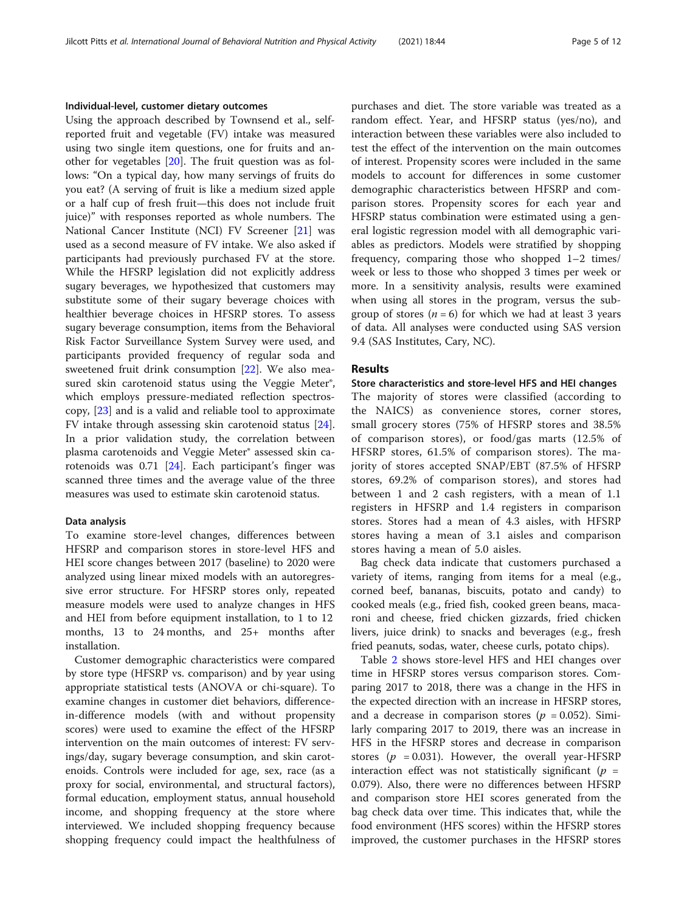#### Individual-level, customer dietary outcomes

Using the approach described by Townsend et al., selfreported fruit and vegetable (FV) intake was measured using two single item questions, one for fruits and another for vegetables [\[20\]](#page-11-0). The fruit question was as follows: "On a typical day, how many servings of fruits do you eat? (A serving of fruit is like a medium sized apple or a half cup of fresh fruit—this does not include fruit juice)" with responses reported as whole numbers. The National Cancer Institute (NCI) FV Screener [[21\]](#page-11-0) was used as a second measure of FV intake. We also asked if participants had previously purchased FV at the store. While the HFSRP legislation did not explicitly address sugary beverages, we hypothesized that customers may substitute some of their sugary beverage choices with healthier beverage choices in HFSRP stores. To assess sugary beverage consumption, items from the Behavioral Risk Factor Surveillance System Survey were used, and participants provided frequency of regular soda and sweetened fruit drink consumption [[22\]](#page-11-0). We also measured skin carotenoid status using the Veggie Meter®, which employs pressure-mediated reflection spectroscopy, [\[23](#page-11-0)] and is a valid and reliable tool to approximate FV intake through assessing skin carotenoid status [\[24](#page-11-0)]. In a prior validation study, the correlation between plasma carotenoids and Veggie Meter® assessed skin carotenoids was 0.71 [\[24\]](#page-11-0). Each participant's finger was scanned three times and the average value of the three measures was used to estimate skin carotenoid status.

#### Data analysis

To examine store-level changes, differences between HFSRP and comparison stores in store-level HFS and HEI score changes between 2017 (baseline) to 2020 were analyzed using linear mixed models with an autoregressive error structure. For HFSRP stores only, repeated measure models were used to analyze changes in HFS and HEI from before equipment installation, to 1 to 12 months, 13 to 24 months, and 25+ months after installation.

Customer demographic characteristics were compared by store type (HFSRP vs. comparison) and by year using appropriate statistical tests (ANOVA or chi-square). To examine changes in customer diet behaviors, differencein-difference models (with and without propensity scores) were used to examine the effect of the HFSRP intervention on the main outcomes of interest: FV servings/day, sugary beverage consumption, and skin carotenoids. Controls were included for age, sex, race (as a proxy for social, environmental, and structural factors), formal education, employment status, annual household income, and shopping frequency at the store where interviewed. We included shopping frequency because shopping frequency could impact the healthfulness of purchases and diet. The store variable was treated as a random effect. Year, and HFSRP status (yes/no), and interaction between these variables were also included to test the effect of the intervention on the main outcomes of interest. Propensity scores were included in the same models to account for differences in some customer demographic characteristics between HFSRP and comparison stores. Propensity scores for each year and HFSRP status combination were estimated using a general logistic regression model with all demographic variables as predictors. Models were stratified by shopping frequency, comparing those who shopped 1–2 times/ week or less to those who shopped 3 times per week or more. In a sensitivity analysis, results were examined when using all stores in the program, versus the subgroup of stores ( $n = 6$ ) for which we had at least 3 years of data. All analyses were conducted using SAS version 9.4 (SAS Institutes, Cary, NC).

### **Results**

## Store characteristics and store-level HFS and HEI changes

The majority of stores were classified (according to the NAICS) as convenience stores, corner stores, small grocery stores (75% of HFSRP stores and 38.5% of comparison stores), or food/gas marts (12.5% of HFSRP stores, 61.5% of comparison stores). The majority of stores accepted SNAP/EBT (87.5% of HFSRP stores, 69.2% of comparison stores), and stores had between 1 and 2 cash registers, with a mean of 1.1 registers in HFSRP and 1.4 registers in comparison stores. Stores had a mean of 4.3 aisles, with HFSRP stores having a mean of 3.1 aisles and comparison stores having a mean of 5.0 aisles.

Bag check data indicate that customers purchased a variety of items, ranging from items for a meal (e.g., corned beef, bananas, biscuits, potato and candy) to cooked meals (e.g., fried fish, cooked green beans, macaroni and cheese, fried chicken gizzards, fried chicken livers, juice drink) to snacks and beverages (e.g., fresh fried peanuts, sodas, water, cheese curls, potato chips).

Table [2](#page-5-0) shows store-level HFS and HEI changes over time in HFSRP stores versus comparison stores. Comparing 2017 to 2018, there was a change in the HFS in the expected direction with an increase in HFSRP stores, and a decrease in comparison stores ( $p = 0.052$ ). Similarly comparing 2017 to 2019, there was an increase in HFS in the HFSRP stores and decrease in comparison stores ( $p = 0.031$ ). However, the overall year-HFSRP interaction effect was not statistically significant ( $p =$ 0.079). Also, there were no differences between HFSRP and comparison store HEI scores generated from the bag check data over time. This indicates that, while the food environment (HFS scores) within the HFSRP stores improved, the customer purchases in the HFSRP stores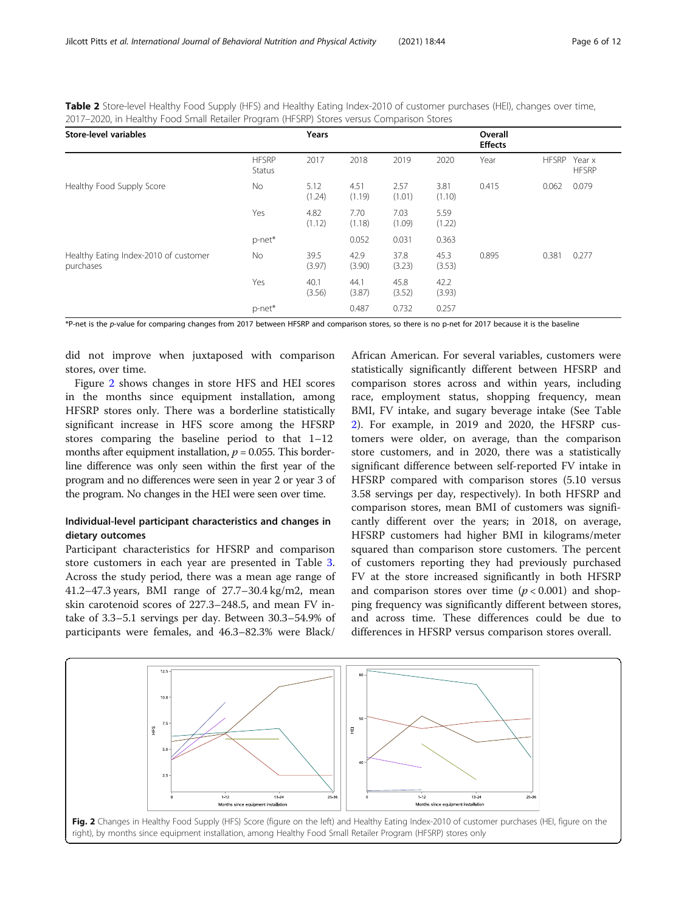<span id="page-5-0"></span>Table 2 Store-level Healthy Food Supply (HFS) and Healthy Eating Index-2010 of customer purchases (HEI), changes over time, 2017–2020, in Healthy Food Small Retailer Program (HFSRP) Stores versus Comparison Stores

| <b>Store-level variables</b>                       |                               | Years          |                |                |                | Overall<br><b>Effects</b> |              |                        |
|----------------------------------------------------|-------------------------------|----------------|----------------|----------------|----------------|---------------------------|--------------|------------------------|
|                                                    | <b>HFSRP</b><br><b>Status</b> | 2017           | 2018           | 2019           | 2020           | Year                      | <b>HFSRP</b> | Year x<br><b>HFSRP</b> |
| Healthy Food Supply Score                          | No.                           | 5.12<br>(1.24) | 4.51<br>(1.19) | 2.57<br>(1.01) | 3.81<br>(1.10) | 0.415                     | 0.062        | 0.079                  |
|                                                    | Yes                           | 4.82<br>(1.12) | 7.70<br>(1.18) | 7.03<br>(1.09) | 5.59<br>(1.22) |                           |              |                        |
|                                                    | p-net*                        |                | 0.052          | 0.031          | 0.363          |                           |              |                        |
| Healthy Eating Index-2010 of customer<br>purchases | No                            | 39.5<br>(3.97) | 42.9<br>(3.90) | 37.8<br>(3.23) | 45.3<br>(3.53) | 0.895                     | 0.381        | 0.277                  |
|                                                    | Yes                           | 40.1<br>(3.56) | 44.1<br>(3.87) | 45.8<br>(3.52) | 42.2<br>(3.93) |                           |              |                        |
|                                                    | p-net*                        |                | 0.487          | 0.732          | 0.257          |                           |              |                        |

\*P-net is the p-value for comparing changes from 2017 between HFSRP and comparison stores, so there is no p-net for 2017 because it is the baseline

did not improve when juxtaposed with comparison stores, over time.

Figure 2 shows changes in store HFS and HEI scores in the months since equipment installation, among HFSRP stores only. There was a borderline statistically significant increase in HFS score among the HFSRP stores comparing the baseline period to that 1–12 months after equipment installation,  $p = 0.055$ . This borderline difference was only seen within the first year of the program and no differences were seen in year 2 or year 3 of the program. No changes in the HEI were seen over time.

## Individual-level participant characteristics and changes in dietary outcomes

Participant characteristics for HFSRP and comparison store customers in each year are presented in Table [3](#page-6-0). Across the study period, there was a mean age range of 41.2–47.3 years, BMI range of 27.7–30.4 kg/m2, mean skin carotenoid scores of 227.3–248.5, and mean FV intake of 3.3–5.1 servings per day. Between 30.3–54.9% of participants were females, and 46.3–82.3% were Black/

African American. For several variables, customers were statistically significantly different between HFSRP and comparison stores across and within years, including race, employment status, shopping frequency, mean BMI, FV intake, and sugary beverage intake (See Table 2). For example, in 2019 and 2020, the HFSRP customers were older, on average, than the comparison store customers, and in 2020, there was a statistically significant difference between self-reported FV intake in HFSRP compared with comparison stores (5.10 versus 3.58 servings per day, respectively). In both HFSRP and comparison stores, mean BMI of customers was significantly different over the years; in 2018, on average, HFSRP customers had higher BMI in kilograms/meter squared than comparison store customers. The percent of customers reporting they had previously purchased FV at the store increased significantly in both HFSRP and comparison stores over time  $(p < 0.001)$  and shopping frequency was significantly different between stores, and across time. These differences could be due to differences in HFSRP versus comparison stores overall.

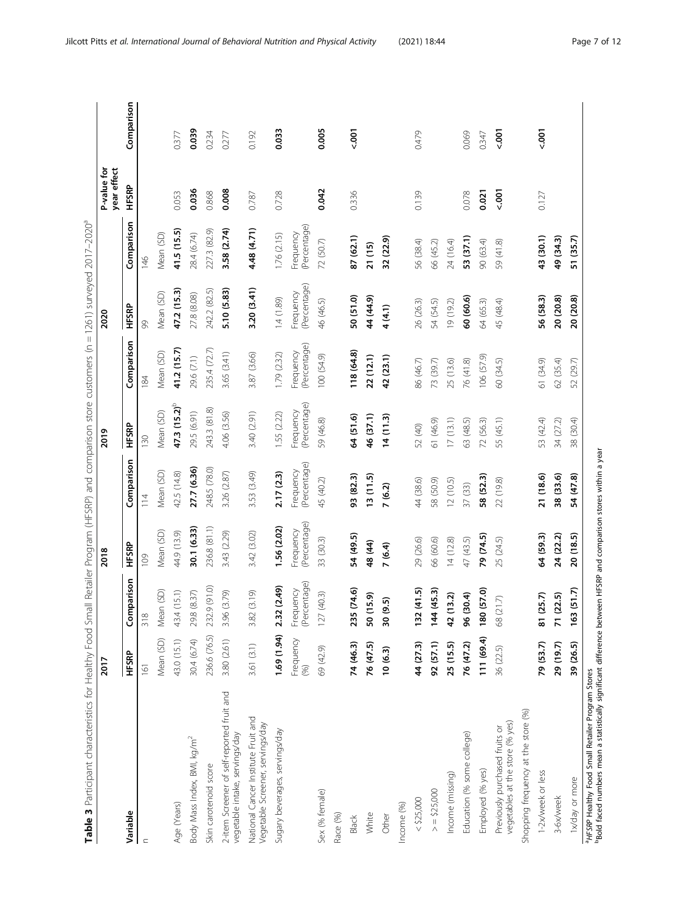| ğ<br>ì                        |
|-------------------------------|
|                               |
| Į<br>l                        |
| י<br>י                        |
| Į                             |
|                               |
|                               |
|                               |
| ֚֬֕<br>i                      |
|                               |
| )<br>J                        |
|                               |
| l<br>l                        |
|                               |
|                               |
|                               |
| i                             |
| $\ddot{\cdot}$                |
| Ï<br>j                        |
|                               |
|                               |
|                               |
|                               |
|                               |
|                               |
|                               |
|                               |
|                               |
|                               |
|                               |
| l<br>l                        |
| d<br>l                        |
|                               |
|                               |
|                               |
| l<br>ׅ֘֒                      |
| ١<br>ׅׅ֚֕֕֜֕֜֝֕               |
|                               |
| Ì                             |
| ׇ֠<br>I                       |
| Ï<br>l                        |
|                               |
|                               |
| d<br>Ç                        |
| :<br>:<br>ׇ֬֘֡֡               |
| 5<br>ׇ֚֕֡                     |
| $\overline{\phantom{a}}$<br>١ |
| ļ                             |
|                               |
| ĵ<br>ł<br>i<br>ׇ֚֓֡<br>j      |
| j<br>l<br>ī                   |
|                               |
| č<br>١<br>ï                   |
| ł<br>Ĺ                        |
| č<br>ׇ֚֬                      |
| )<br>-<br>-<br>-<br>j         |
|                               |
|                               |
| l                             |
|                               |
|                               |
|                               |
|                               |
|                               |
|                               |
|                               |
|                               |
| I                             |

<span id="page-6-0"></span>

| 236.6 (76.5)<br>43.0 (15.1)<br>Mean (SD)<br>30.4 (6.74)<br>HFSRP<br>2017<br>161<br>Body Mass Index, BMI, kg/m <sup>2</sup><br>Skin carotenoid score<br>Age (Years)<br>Variable |                           | 2018                      |                           | 2019                      |                           | 2020                      |                           | P-value for<br>year effect |            |
|--------------------------------------------------------------------------------------------------------------------------------------------------------------------------------|---------------------------|---------------------------|---------------------------|---------------------------|---------------------------|---------------------------|---------------------------|----------------------------|------------|
|                                                                                                                                                                                |                           |                           |                           |                           |                           |                           |                           |                            |            |
|                                                                                                                                                                                | Comparison                | <b>HFSRP</b>              | Comparison                | HFSRP                     | Comparison                | HFSRP                     | Comparison                | HFSRP                      | Comparison |
|                                                                                                                                                                                | 318                       | 109                       | 114                       | 130                       | 184                       | 99                        | 146                       |                            |            |
|                                                                                                                                                                                | (SD)<br>Mean              | Mean (SD)                 | Mean (SD)                 | Mean (SD)                 | Mean (SD)                 | Mean (SD)                 | Mean (SD)                 |                            |            |
|                                                                                                                                                                                | 5.1)<br>43.4 (1.          | 44.9 (13.9)               | 42.5 (14.8)               | $47.3(15.2)^5$            | 41.2 (15.7)               | 47.2 (15.3)               | 41.5 (15.5)               | 0.053                      | 0.377      |
|                                                                                                                                                                                | 29.8 (8.37)               | 30.1 (6.33)               | 27.7 (6.36)               | 29.5 (6.91)               | 29.6 (7.1)                | 27.8 (8.08)               | 28.4 (6.74)               | 0.036                      | 0.039      |
|                                                                                                                                                                                | 232.9 (91.0)              | 236.8 (81.1)              | 248.5 (78.0)              | 243.3 (81.8)              | 235.4 (72.7)              | 242.2 (82.5)              | 227.3 (82.9)              | 0.868                      | 0.234      |
| 3.80 (2.61)<br>2-item Screener of self-reported fruit and<br>vegetable intake, servings/day                                                                                    | 3.96 (3.79)               | 3.43 (2.29)               | 3.26 (2.87)               | 4.06 (3.56)               | 3.65 (3.41)               | 5.10 (5.83)               | 3.58 (2.74)               | 0.008                      | 0.277      |
| 3.61 (3.1)<br>National Cancer Institute Fruit and<br>Vegetable Screener, servings/day                                                                                          | 3.82 (3.19)               | 3.42 (3.02)               | 3.53 (3.49)               | 3.40 (2.91)               | 3.87 (3.66)               | 3.20 (3.41)               | 4.48 (4.71)               | 0.787                      | 0.192      |
| 1.69 (1.94)<br>Sugary beverages, servings/day                                                                                                                                  | 2.32 (2.49)               | 1.56 (2.02)               | 2.17 (2.3)                | 1.55 (2.22)               | 1.79 (2.32)               | 1.4(1.89)                 | 1.76(2.15)                | 0.728                      | 0.033      |
| Frequency<br>(96)                                                                                                                                                              | (Percentage)<br>Frequency | (Percentage)<br>Frequency | (Percentage)<br>Frequency | (Percentage)<br>Frequency | (Percentage)<br>Frequency | (Percentage)<br>Frequency | (Percentage)<br>Frequency |                            |            |
| 69 (42.9)<br>Sex (% female)                                                                                                                                                    | 127(40.3)                 | 33 (30.3)                 | 45 (40.2)                 | 59 (46.8)                 | 100 (54.9)                | 46 (46.5)                 | 72 (50.7)                 | 0.042                      | 0.005      |
| Race (%)                                                                                                                                                                       |                           |                           |                           |                           |                           |                           |                           |                            |            |
| 74 (46.3)<br><b>Black</b>                                                                                                                                                      | 235 (74.6)                | 54 (49.5)                 | 93 (82.3)                 | 64 (51.6)                 | 18(64.8)                  | 50 (51.0)                 | 87 (62.1)                 | 0.336                      | $500 - 7$  |
| 76 (47.5)<br>White                                                                                                                                                             | 50 (15.9)                 | 48 (44)                   | 13(11.5)                  | 46 (37.1)                 | 22 (12.1)                 | 44 (44.9)                 | 21(15)                    |                            |            |
| 10(6.3)<br>Other                                                                                                                                                               | 30 (9.5)                  | 7(6.4)                    | 7(6.2)                    | 14(11.3)                  | 42 (23.1)                 | 4 (4.1)                   | 32 (22.9)                 |                            |            |
| Income (%)                                                                                                                                                                     |                           |                           |                           |                           |                           |                           |                           |                            |            |
| 44 (27.3)<br>$<$ \$25,000                                                                                                                                                      | 132(41.5)                 | 29 (26.6)                 | 44 (38.6)                 | 52 (40)                   | 86 (46.7)                 | 26 (26.3)                 | 56 (38.4)                 | 0.139                      | 0.479      |
| 92 (57.1)<br>> 525,000                                                                                                                                                         | 144(45.3)                 | 66 (60.6)                 | 58 (50.9)                 | 61 (46.9)                 | 73 (39.7)                 | 54 (54.5)                 | 66 (45.2)                 |                            |            |
| 25 (15.5)<br>Income (missing)                                                                                                                                                  | 42 (13.2)                 | 14(12.8)                  | 12(10.5)                  | 17(13.1)                  | 25 (13.6)                 | 19 (19.2)                 | 24 (16.4)                 |                            |            |
| 76 (47.2)<br>Education (% some college)                                                                                                                                        | 96 (30.4)                 | 47 (43.5)                 | 37 (33)                   | 63 (48.5)                 | 76 (41.8)                 | 60 (60.6)                 | 53 (37.1)                 | 0.078                      | 0.069      |
| 111 (69.4)<br>Employed (% yes)                                                                                                                                                 | 180 (57.0)                | 79 (74.5)                 | 58 (52.3)                 | 72 (56.3)                 | 106(57.9)                 | 64 (65.3)                 | 90 (63.4)                 | 0.021                      | 0.347      |
| 36 (22.5)<br>vegetables at the store (% yes)<br>Previously purchased fruits or                                                                                                 | $\mathcal{L}$<br>68 (21   | 25 (24.5)                 | 22 (19.8)                 | 55 (45.1)                 | 60 (34.5)                 | 45 (48.4)                 | 59 (41.8)                 | $500 - 7$                  | $500 - 7$  |
| Shopping frequency at the store (%)                                                                                                                                            |                           |                           |                           |                           |                           |                           |                           |                            |            |
| 79 (53.7)<br>1-2x/week or less                                                                                                                                                 | 81 (25.7)                 | 64 (59.3)                 | 21 (18.6)                 | 53 (42.4)                 | 61 (34.9)                 | 56 (58.3)                 | 43 (30.1)                 | 0.127                      | $500 - 7$  |
| 29 (19.7)<br>3-6x/week                                                                                                                                                         | 71 (22.5)                 | 24 (22.2)                 | 38 (33.6)                 | 34 (27.2)                 | 62 (35.4)                 | 20 (20.8)                 | 49 (34.3)                 |                            |            |
| 39 (26.5)<br>1x/day or more                                                                                                                                                    | 163(51.7)                 | 20 (18.5)                 | 54 (47.8)                 | 38 (30.4)                 | 52 (29.7)                 | 20 (20.8)                 | 51 (35.7)                 |                            |            |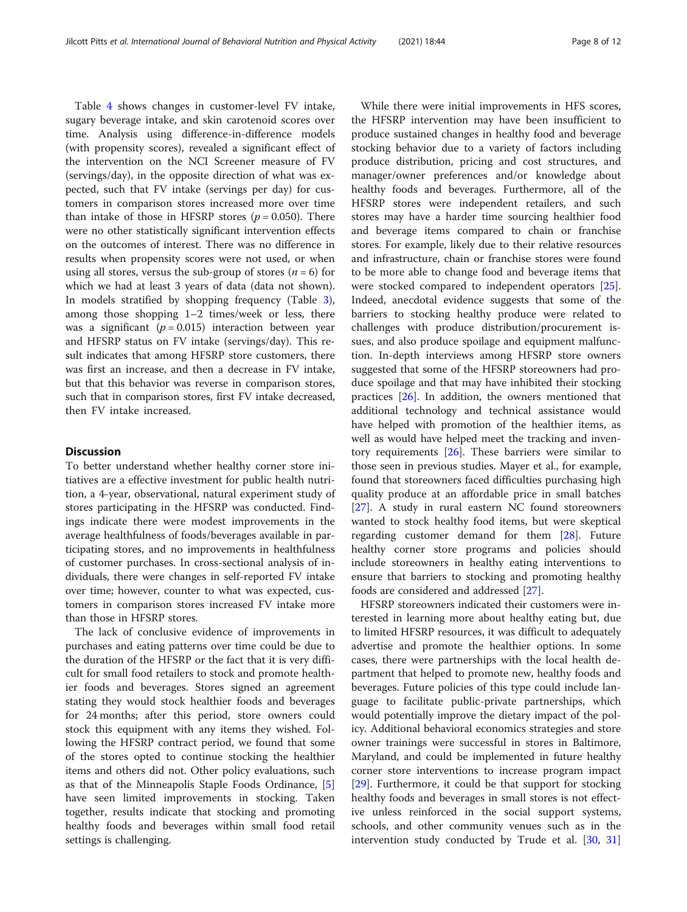Table [4](#page-8-0) shows changes in customer-level FV intake, sugary beverage intake, and skin carotenoid scores over time. Analysis using difference-in-difference models (with propensity scores), revealed a significant effect of the intervention on the NCI Screener measure of FV (servings/day), in the opposite direction of what was expected, such that FV intake (servings per day) for customers in comparison stores increased more over time than intake of those in HFSRP stores ( $p = 0.050$ ). There were no other statistically significant intervention effects on the outcomes of interest. There was no difference in results when propensity scores were not used, or when using all stores, versus the sub-group of stores ( $n = 6$ ) for which we had at least 3 years of data (data not shown). In models stratified by shopping frequency (Table [3](#page-6-0)), among those shopping 1–2 times/week or less, there was a significant ( $p = 0.015$ ) interaction between year and HFSRP status on FV intake (servings/day). This result indicates that among HFSRP store customers, there was first an increase, and then a decrease in FV intake, but that this behavior was reverse in comparison stores, such that in comparison stores, first FV intake decreased, then FV intake increased.

## **Discussion**

To better understand whether healthy corner store initiatives are a effective investment for public health nutrition, a 4-year, observational, natural experiment study of stores participating in the HFSRP was conducted. Findings indicate there were modest improvements in the average healthfulness of foods/beverages available in participating stores, and no improvements in healthfulness of customer purchases. In cross-sectional analysis of individuals, there were changes in self-reported FV intake over time; however, counter to what was expected, customers in comparison stores increased FV intake more than those in HFSRP stores.

The lack of conclusive evidence of improvements in purchases and eating patterns over time could be due to the duration of the HFSRP or the fact that it is very difficult for small food retailers to stock and promote healthier foods and beverages. Stores signed an agreement stating they would stock healthier foods and beverages for 24 months; after this period, store owners could stock this equipment with any items they wished. Following the HFSRP contract period, we found that some of the stores opted to continue stocking the healthier items and others did not. Other policy evaluations, such as that of the Minneapolis Staple Foods Ordinance, [\[5](#page-10-0)] have seen limited improvements in stocking. Taken together, results indicate that stocking and promoting healthy foods and beverages within small food retail settings is challenging.

While there were initial improvements in HFS scores, the HFSRP intervention may have been insufficient to produce sustained changes in healthy food and beverage stocking behavior due to a variety of factors including produce distribution, pricing and cost structures, and manager/owner preferences and/or knowledge about healthy foods and beverages. Furthermore, all of the HFSRP stores were independent retailers, and such stores may have a harder time sourcing healthier food and beverage items compared to chain or franchise stores. For example, likely due to their relative resources and infrastructure, chain or franchise stores were found to be more able to change food and beverage items that were stocked compared to independent operators [\[25](#page-11-0)]. Indeed, anecdotal evidence suggests that some of the barriers to stocking healthy produce were related to challenges with produce distribution/procurement issues, and also produce spoilage and equipment malfunction. In-depth interviews among HFSRP store owners suggested that some of the HFSRP storeowners had produce spoilage and that may have inhibited their stocking practices [[26](#page-11-0)]. In addition, the owners mentioned that additional technology and technical assistance would have helped with promotion of the healthier items, as well as would have helped meet the tracking and inventory requirements  $[26]$ . These barriers were similar to those seen in previous studies. Mayer et al., for example, found that storeowners faced difficulties purchasing high quality produce at an affordable price in small batches [[27\]](#page-11-0). A study in rural eastern NC found storeowners wanted to stock healthy food items, but were skeptical regarding customer demand for them [[28\]](#page-11-0). Future healthy corner store programs and policies should include storeowners in healthy eating interventions to ensure that barriers to stocking and promoting healthy foods are considered and addressed [\[27](#page-11-0)].

HFSRP storeowners indicated their customers were interested in learning more about healthy eating but, due to limited HFSRP resources, it was difficult to adequately advertise and promote the healthier options. In some cases, there were partnerships with the local health department that helped to promote new, healthy foods and beverages. Future policies of this type could include language to facilitate public-private partnerships, which would potentially improve the dietary impact of the policy. Additional behavioral economics strategies and store owner trainings were successful in stores in Baltimore, Maryland, and could be implemented in future healthy corner store interventions to increase program impact [[29\]](#page-11-0). Furthermore, it could be that support for stocking healthy foods and beverages in small stores is not effective unless reinforced in the social support systems, schools, and other community venues such as in the intervention study conducted by Trude et al. [[30](#page-11-0), [31](#page-11-0)]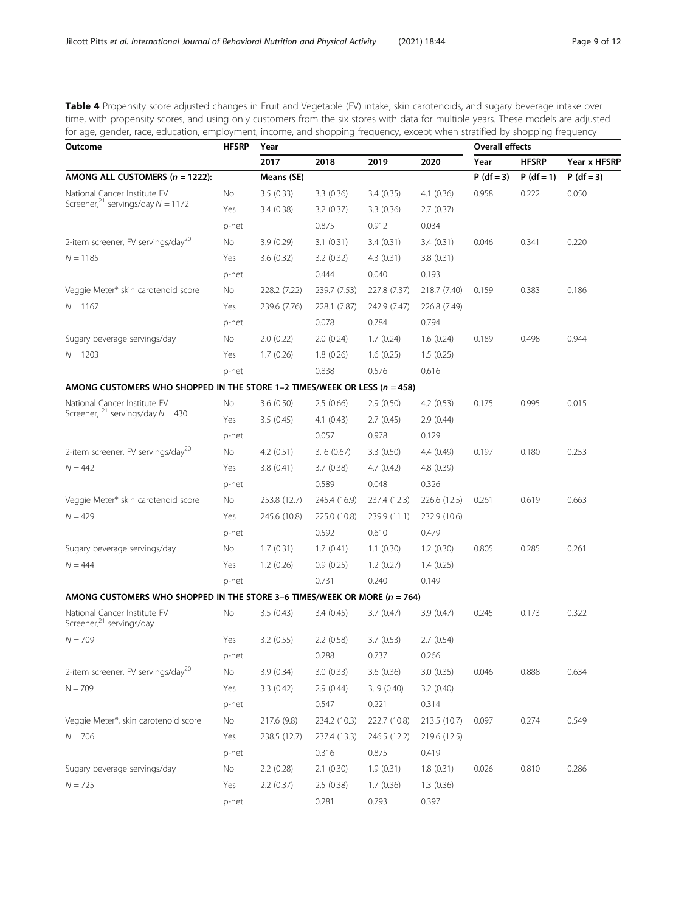<span id="page-8-0"></span>Table 4 Propensity score adjusted changes in Fruit and Vegetable (FV) intake, skin carotenoids, and sugary beverage intake over time, with propensity scores, and using only customers from the six stores with data for multiple years. These models are adjusted for age, gender, race, education, employment, income, and shopping frequency, except when stratified by shopping frequency

| Outcome                                                                       | <b>HFSRP</b> | Year         | <b>Overall effects</b> |              |              |              |              |              |
|-------------------------------------------------------------------------------|--------------|--------------|------------------------|--------------|--------------|--------------|--------------|--------------|
|                                                                               |              | 2017         | 2018                   | 2019         | 2020         | Year         | <b>HFSRP</b> | Year x HFSRF |
| AMONG ALL CUSTOMERS $(n = 1222)$ :                                            |              | Means (SE)   |                        |              |              | $P (df = 3)$ | $P (df = 1)$ | $P (df = 3)$ |
| National Cancer Institute FV                                                  | No           | 3.5(0.33)    | 3.3(0.36)              | 3.4(0.35)    | 4.1(0.36)    | 0.958        | 0.222        | 0.050        |
| Screener, <sup>21</sup> servings/day $N = 1172$                               | Yes          | 3.4(0.38)    | 3.2(0.37)              | 3.3(0.36)    | 2.7(0.37)    |              |              |              |
|                                                                               | p-net        |              | 0.875                  | 0.912        | 0.034        |              |              |              |
| 2-item screener, FV servings/day <sup>20</sup>                                | No           | 3.9(0.29)    | 3.1(0.31)              | 3.4(0.31)    | 3.4(0.31)    | 0.046        | 0.341        | 0.220        |
| $N = 1185$                                                                    | Yes          | 3.6(0.32)    | 3.2(0.32)              | 4.3(0.31)    | 3.8(0.31)    |              |              |              |
|                                                                               | p-net        |              | 0.444                  | 0.040        | 0.193        |              |              |              |
| Veggie Meter <sup>®</sup> skin carotenoid score                               | No           | 228.2 (7.22) | 239.7 (7.53)           | 227.8 (7.37) | 218.7 (7.40) | 0.159        | 0.383        | 0.186        |
| $N = 1167$                                                                    | Yes          | 239.6 (7.76) | 228.1 (7.87)           | 242.9 (7.47) | 226.8 (7.49) |              |              |              |
|                                                                               | p-net        |              | 0.078                  | 0.784        | 0.794        |              |              |              |
| Sugary beverage servings/day                                                  | No           | 2.0(0.22)    | 2.0(0.24)              | 1.7(0.24)    | 1.6(0.24)    | 0.189        | 0.498        | 0.944        |
| $N = 1203$                                                                    | Yes          | 1.7(0.26)    | 1.8(0.26)              | 1.6(0.25)    | 1.5(0.25)    |              |              |              |
|                                                                               | p-net        |              | 0.838                  | 0.576        | 0.616        |              |              |              |
| AMONG CUSTOMERS WHO SHOPPED IN THE STORE 1-2 TIMES/WEEK OR LESS ( $n = 458$ ) |              |              |                        |              |              |              |              |              |
| National Cancer Institute FV                                                  | No           | 3.6(0.50)    | 2.5(0.66)              | 2.9(0.50)    | 4.2(0.53)    | 0.175        | 0.995        | 0.015        |
| Screener, $^{21}$ servings/day $N = 430$                                      | Yes          | 3.5(0.45)    | 4.1(0.43)              | 2.7(0.45)    | 2.9(0.44)    |              |              |              |
|                                                                               | p-net        |              | 0.057                  | 0.978        | 0.129        |              |              |              |
| 2-item screener, FV servings/day <sup>20</sup>                                | No           | 4.2(0.51)    | 3.6(0.67)              | 3.3(0.50)    | 4.4 (0.49)   | 0.197        | 0.180        | 0.253        |
| $N = 442$                                                                     | Yes          | 3.8(0.41)    | 3.7(0.38)              | 4.7(0.42)    | 4.8 (0.39)   |              |              |              |
|                                                                               | p-net        |              | 0.589                  | 0.048        | 0.326        |              |              |              |
| Veggie Meter <sup>®</sup> skin carotenoid score                               | No           | 253.8 (12.7) | 245.4 (16.9)           | 237.4 (12.3) | 226.6 (12.5) | 0.261        | 0.619        | 0.663        |
| $N = 429$                                                                     | Yes          | 245.6 (10.8) | 225.0 (10.8)           | 239.9 (11.1) | 232.9 (10.6) |              |              |              |
|                                                                               | p-net        |              | 0.592                  | 0.610        | 0.479        |              |              |              |
| Sugary beverage servings/day                                                  | No           | 1.7(0.31)    | 1.7(0.41)              | 1.1(0.30)    | 1.2(0.30)    | 0.805        | 0.285        | 0.261        |
| $N = 444$                                                                     | Yes          | 1.2(0.26)    | 0.9(0.25)              | 1.2(0.27)    | 1.4(0.25)    |              |              |              |
|                                                                               | p-net        |              | 0.731                  | 0.240        | 0.149        |              |              |              |
| AMONG CUSTOMERS WHO SHOPPED IN THE STORE 3-6 TIMES/WEEK OR MORE ( $n = 764$ ) |              |              |                        |              |              |              |              |              |
| National Cancer Institute FV<br>Screener, <sup>21</sup> servings/day          | No           | 3.5(0.43)    | 3.4(0.45)              | 3.7(0.47)    | 3.9(0.47)    | 0.245        | 0.173        | 0.322        |
| $N = 709$                                                                     | Yes          | 3.2(0.55)    | 2.2(0.58)              | 3.7(0.53)    | 2.7(0.54)    |              |              |              |
|                                                                               | p-net        |              | 0.288                  | 0.737        | 0.266        |              |              |              |
| 2-item screener, FV servings/day <sup>20</sup>                                | No           | 3.9 (0.34)   | 3.0(0.33)              | 3.6 (0.36)   | 3.0(0.35)    | 0.046        | 0.888        | 0.634        |
| $N = 709$                                                                     | Yes          | 3.3(0.42)    | 2.9(0.44)              | 3.9(0.40)    | 3.2(0.40)    |              |              |              |
|                                                                               | p-net        |              | 0.547                  | 0.221        | 0.314        |              |              |              |
| Veggie Meter®, skin carotenoid score                                          | No           | 217.6 (9.8)  | 234.2 (10.3)           | 222.7 (10.8) | 213.5 (10.7) | 0.097        | 0.274        | 0.549        |
| $N = 706$                                                                     | Yes          | 238.5 (12.7) | 237.4 (13.3)           | 246.5 (12.2) | 219.6 (12.5) |              |              |              |
|                                                                               | p-net        |              | 0.316                  | 0.875        | 0.419        |              |              |              |
| Sugary beverage servings/day                                                  | No           | 2.2(0.28)    | 2.1(0.30)              | 1.9(0.31)    | 1.8(0.31)    | 0.026        | 0.810        | 0.286        |
| $N = 725$                                                                     | Yes          | 2.2(0.37)    | 2.5(0.38)              | 1.7(0.36)    | 1.3(0.36)    |              |              |              |
|                                                                               | p-net        |              | 0.281                  | 0.793        | 0.397        |              |              |              |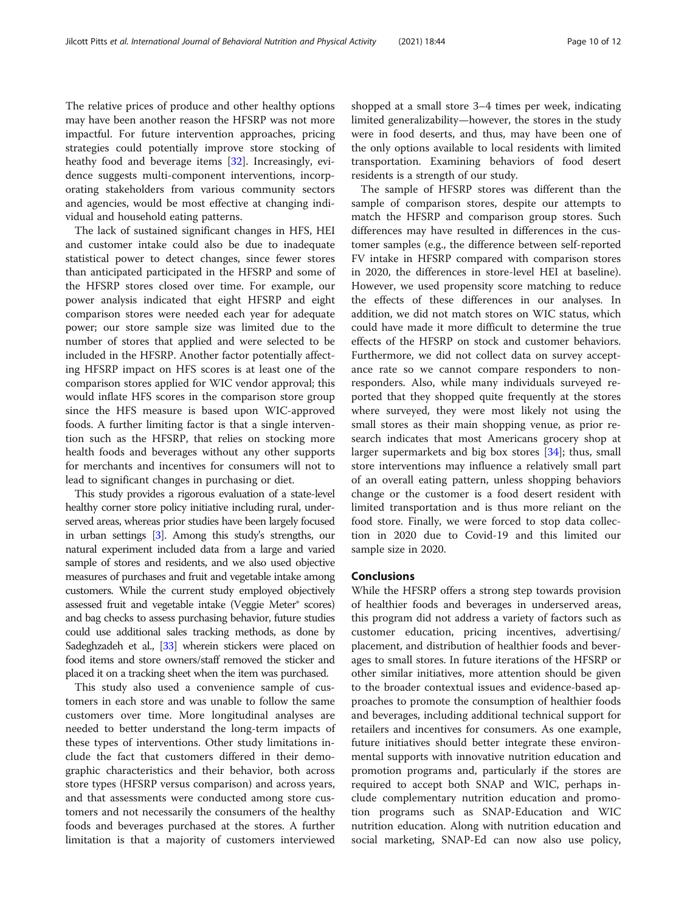The relative prices of produce and other healthy options may have been another reason the HFSRP was not more impactful. For future intervention approaches, pricing strategies could potentially improve store stocking of heathy food and beverage items [\[32](#page-11-0)]. Increasingly, evidence suggests multi-component interventions, incorporating stakeholders from various community sectors and agencies, would be most effective at changing individual and household eating patterns.

The lack of sustained significant changes in HFS, HEI and customer intake could also be due to inadequate statistical power to detect changes, since fewer stores than anticipated participated in the HFSRP and some of the HFSRP stores closed over time. For example, our power analysis indicated that eight HFSRP and eight comparison stores were needed each year for adequate power; our store sample size was limited due to the number of stores that applied and were selected to be included in the HFSRP. Another factor potentially affecting HFSRP impact on HFS scores is at least one of the comparison stores applied for WIC vendor approval; this would inflate HFS scores in the comparison store group since the HFS measure is based upon WIC-approved foods. A further limiting factor is that a single intervention such as the HFSRP, that relies on stocking more health foods and beverages without any other supports for merchants and incentives for consumers will not to lead to significant changes in purchasing or diet.

This study provides a rigorous evaluation of a state-level healthy corner store policy initiative including rural, underserved areas, whereas prior studies have been largely focused in urban settings [\[3](#page-10-0)]. Among this study's strengths, our natural experiment included data from a large and varied sample of stores and residents, and we also used objective measures of purchases and fruit and vegetable intake among customers. While the current study employed objectively assessed fruit and vegetable intake (Veggie Meter® scores) and bag checks to assess purchasing behavior, future studies could use additional sales tracking methods, as done by Sadeghzadeh et al., [\[33\]](#page-11-0) wherein stickers were placed on food items and store owners/staff removed the sticker and placed it on a tracking sheet when the item was purchased.

This study also used a convenience sample of customers in each store and was unable to follow the same customers over time. More longitudinal analyses are needed to better understand the long-term impacts of these types of interventions. Other study limitations include the fact that customers differed in their demographic characteristics and their behavior, both across store types (HFSRP versus comparison) and across years, and that assessments were conducted among store customers and not necessarily the consumers of the healthy foods and beverages purchased at the stores. A further limitation is that a majority of customers interviewed shopped at a small store 3–4 times per week, indicating limited generalizability—however, the stores in the study were in food deserts, and thus, may have been one of the only options available to local residents with limited transportation. Examining behaviors of food desert residents is a strength of our study.

The sample of HFSRP stores was different than the sample of comparison stores, despite our attempts to match the HFSRP and comparison group stores. Such differences may have resulted in differences in the customer samples (e.g., the difference between self-reported FV intake in HFSRP compared with comparison stores in 2020, the differences in store-level HEI at baseline). However, we used propensity score matching to reduce the effects of these differences in our analyses. In addition, we did not match stores on WIC status, which could have made it more difficult to determine the true effects of the HFSRP on stock and customer behaviors. Furthermore, we did not collect data on survey acceptance rate so we cannot compare responders to nonresponders. Also, while many individuals surveyed reported that they shopped quite frequently at the stores where surveyed, they were most likely not using the small stores as their main shopping venue, as prior research indicates that most Americans grocery shop at larger supermarkets and big box stores [[34\]](#page-11-0); thus, small store interventions may influence a relatively small part of an overall eating pattern, unless shopping behaviors change or the customer is a food desert resident with limited transportation and is thus more reliant on the food store. Finally, we were forced to stop data collection in 2020 due to Covid-19 and this limited our sample size in 2020.

#### Conclusions

While the HFSRP offers a strong step towards provision of healthier foods and beverages in underserved areas, this program did not address a variety of factors such as customer education, pricing incentives, advertising/ placement, and distribution of healthier foods and beverages to small stores. In future iterations of the HFSRP or other similar initiatives, more attention should be given to the broader contextual issues and evidence-based approaches to promote the consumption of healthier foods and beverages, including additional technical support for retailers and incentives for consumers. As one example, future initiatives should better integrate these environmental supports with innovative nutrition education and promotion programs and, particularly if the stores are required to accept both SNAP and WIC, perhaps include complementary nutrition education and promotion programs such as SNAP-Education and WIC nutrition education. Along with nutrition education and social marketing, SNAP-Ed can now also use policy,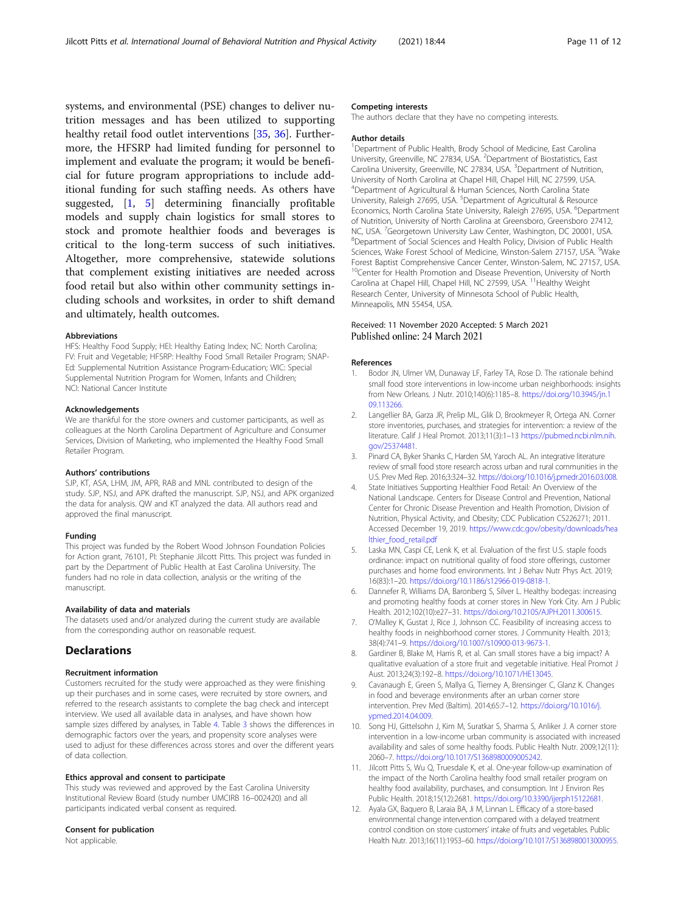<span id="page-10-0"></span>systems, and environmental (PSE) changes to deliver nutrition messages and has been utilized to supporting healthy retail food outlet interventions [[35](#page-11-0), [36\]](#page-11-0). Furthermore, the HFSRP had limited funding for personnel to implement and evaluate the program; it would be beneficial for future program appropriations to include additional funding for such staffing needs. As others have suggested, [1, 5] determining financially profitable models and supply chain logistics for small stores to stock and promote healthier foods and beverages is critical to the long-term success of such initiatives. Altogether, more comprehensive, statewide solutions that complement existing initiatives are needed across food retail but also within other community settings including schools and worksites, in order to shift demand and ultimately, health outcomes.

#### Abbreviations

HFS: Healthy Food Supply; HEI: Healthy Eating Index; NC: North Carolina; FV: Fruit and Vegetable; HFSRP: Healthy Food Small Retailer Program; SNAP-Ed: Supplemental Nutrition Assistance Program-Education; WIC: Special Supplemental Nutrition Program for Women, Infants and Children; NCI: National Cancer Institute

#### Acknowledgements

We are thankful for the store owners and customer participants, as well as colleagues at the North Carolina Department of Agriculture and Consumer Services, Division of Marketing, who implemented the Healthy Food Small Retailer Program.

#### Authors' contributions

SJP, KT, ASA, LHM, JM, APR, RAB and MNL contributed to design of the study. SJP, NSJ, and APK drafted the manuscript. SJP, NSJ, and APK organized the data for analysis. QW and KT analyzed the data. All authors read and approved the final manuscript.

#### Funding

This project was funded by the Robert Wood Johnson Foundation Policies for Action grant, 76101, PI: Stephanie Jilcott Pitts. This project was funded in part by the Department of Public Health at East Carolina University. The funders had no role in data collection, analysis or the writing of the manuscript.

#### Availability of data and materials

The datasets used and/or analyzed during the current study are available from the corresponding author on reasonable request.

## **Declarations**

#### Recruitment information

Customers recruited for the study were approached as they were finishing up their purchases and in some cases, were recruited by store owners, and referred to the research assistants to complete the bag check and intercept interview. We used all available data in analyses, and have shown how sample sizes differed by analyses, in Table [4.](#page-8-0) Table [3](#page-6-0) shows the differences in demographic factors over the years, and propensity score analyses were used to adjust for these differences across stores and over the different years of data collection.

#### Ethics approval and consent to participate

This study was reviewed and approved by the East Carolina University Institutional Review Board (study number UMCIRB 16–002420) and all participants indicated verbal consent as required.

## Consent for publication

Not applicable.

#### Competing interests

The authors declare that they have no competing interests.

#### Author details

<sup>1</sup>Department of Public Health, Brody School of Medicine, East Carolina University, Greenville, NC 27834, USA. <sup>2</sup>Department of Biostatistics, East Carolina University, Greenville, NC 27834, USA. <sup>3</sup>Department of Nutrition, University of North Carolina at Chapel Hill, Chapel Hill, NC 27599, USA. 4 Department of Agricultural & Human Sciences, North Carolina State University, Raleigh 27695, USA. <sup>5</sup>Department of Agricultural & Resource Economics, North Carolina State University, Raleigh 27695, USA. <sup>6</sup>Department of Nutrition, University of North Carolina at Greensboro, Greensboro 27412, NC, USA. <sup>7</sup>Georgetown University Law Center, Washington, DC 20001, USA.<br><sup>8</sup>Department of Social Sciences and Health Policy, Division of Public Health <sup>8</sup>Department of Social Sciences and Health Policy, Division of Public Health Sciences, Wake Forest School of Medicine, Winston-Salem 27157, USA. <sup>9</sup>Wake Forest Baptist Comprehensive Cancer Center, Winston-Salem, NC 27157, USA. <sup>10</sup>Center for Health Promotion and Disease Prevention, University of North Carolina at Chapel Hill, Chapel Hill, NC 27599, USA. <sup>11</sup> Healthy Weight Research Center, University of Minnesota School of Public Health, Minneapolis, MN 55454, USA.

#### Received: 11 November 2020 Accepted: 5 March 2021 Published online: 24 March 2021

#### References

- 1. Bodor JN, Ulmer VM, Dunaway LF, Farley TA, Rose D. The rationale behind small food store interventions in low-income urban neighborhoods: insights from New Orleans. J Nutr. 2010;140(6):1185–8. [https://doi.org/10.3945/jn.1](https://doi.org/10.3945/jn.109.113266) [09.113266](https://doi.org/10.3945/jn.109.113266).
- 2. Langellier BA, Garza JR, Prelip ML, Glik D, Brookmeyer R, Ortega AN. Corner store inventories, purchases, and strategies for intervention: a review of the literature. Calif J Heal Promot. 2013;11(3):1–13 [https://pubmed.ncbi.nlm.nih.](https://pubmed.ncbi.nlm.nih.gov/25374481) [gov/25374481](https://pubmed.ncbi.nlm.nih.gov/25374481).
- 3. Pinard CA, Byker Shanks C, Harden SM, Yaroch AL. An integrative literature review of small food store research across urban and rural communities in the U.S. Prev Med Rep. 2016;3:324–32. <https://doi.org/10.1016/j.pmedr.2016.03.008>.
- 4. State Initiatives Supporting Healthier Food Retail: An Overview of the National Landscape. Centers for Disease Control and Prevention, National Center for Chronic Disease Prevention and Health Promotion, Division of Nutrition, Physical Activity, and Obesity; CDC Publication CS226271; 2011. Accessed December 19, 2019. [https://www.cdc.gov/obesity/downloads/hea](https://www.cdc.gov/obesity/downloads/healthier_food_retail.pdf) [lthier\\_food\\_retail.pdf](https://www.cdc.gov/obesity/downloads/healthier_food_retail.pdf)
- 5. Laska MN, Caspi CE, Lenk K, et al. Evaluation of the first U.S. staple foods ordinance: impact on nutritional quality of food store offerings, customer purchases and home food environments. Int J Behav Nutr Phys Act. 2019; 16(83):1–20. [https://doi.org/10.1186/s12966-019-0818-1.](https://doi.org/10.1186/s12966-019-0818-1)
- 6. Dannefer R, Williams DA, Baronberg S, Silver L. Healthy bodegas: increasing and promoting healthy foods at corner stores in New York City. Am J Public Health. 2012;102(10):e27–31. [https://doi.org/10.2105/AJPH.2011.300615.](https://doi.org/10.2105/AJPH.2011.300615)
- 7. O'Malley K, Gustat J, Rice J, Johnson CC. Feasibility of increasing access to healthy foods in neighborhood corner stores. J Community Health. 2013; 38(4):741–9. [https://doi.org/10.1007/s10900-013-9673-1.](https://doi.org/10.1007/s10900-013-9673-1)
- 8. Gardiner B, Blake M, Harris R, et al. Can small stores have a big impact? A qualitative evaluation of a store fruit and vegetable initiative. Heal Promot J Aust. 2013;24(3):192–8. <https://doi.org/10.1071/HE13045>.
- 9. Cavanaugh E, Green S, Mallya G, Tierney A, Brensinger C, Glanz K. Changes in food and beverage environments after an urban corner store intervention. Prev Med (Baltim). 2014;65:7–12. [https://doi.org/10.1016/j.](https://doi.org/10.1016/j.ypmed.2014.04.009) [ypmed.2014.04.009](https://doi.org/10.1016/j.ypmed.2014.04.009).
- 10. Song HJ, Gittelsohn J, Kim M, Suratkar S, Sharma S, Anliker J. A corner store intervention in a low-income urban community is associated with increased availability and sales of some healthy foods. Public Health Nutr. 2009;12(11): 2060–7. [https://doi.org/10.1017/S1368980009005242.](https://doi.org/10.1017/S1368980009005242)
- 11. Jilcott Pitts S, Wu Q, Truesdale K, et al. One-year follow-up examination of the impact of the North Carolina healthy food small retailer program on healthy food availability, purchases, and consumption. Int J Environ Res Public Health. 2018;15(12):2681. [https://doi.org/10.3390/ijerph15122681.](https://doi.org/10.3390/ijerph15122681)
- 12. Ayala GX, Baquero B, Laraia BA, Ji M, Linnan L. Efficacy of a store-based environmental change intervention compared with a delayed treatment control condition on store customers' intake of fruits and vegetables. Public Health Nutr. 2013;16(11):1953–60. [https://doi.org/10.1017/S1368980013000955.](https://doi.org/10.1017/S1368980013000955)